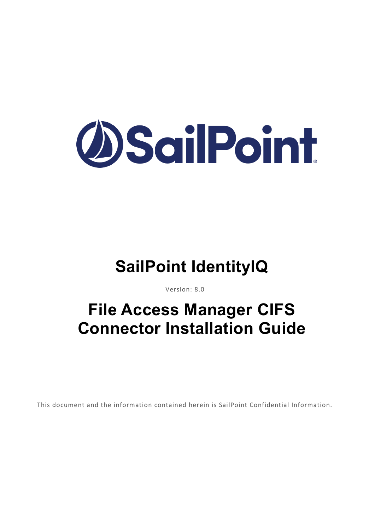

# **SailPoint IdentityIQ**

Version: 8.0

# **File Access Manager CIFS Connector Installation Guide**

This document and the information contained herein is SailPoint Confidential Information.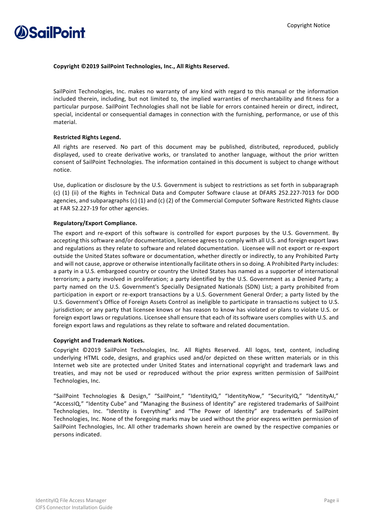

### **Copyright ©2019 SailPoint Technologies, Inc., All Rights Reserved.**

SailPoint Technologies, Inc. makes no warranty of any kind with regard to this manual or the information included therein, including, but not limited to, the implied warranties of merchantability and fitness for a particular purpose. SailPoint Technologies shall not be liable for errors contained herein or direct, indirect, special, incidental or consequential damages in connection with the furnishing, performance, or use of this material.

### **Restricted Rights Legend.**

All rights are reserved. No part of this document may be published, distributed, reproduced, publicly displayed, used to create derivative works, or translated to another language, without the prior written consent of SailPoint Technologies. The information contained in this document is subject to change without notice.

Use, duplication or disclosure by the U.S. Government is subject to restrictions as set forth in subparagraph (c) (1) (ii) of the Rights in Technical Data and Computer Software clause at DFARS 252.227-7013 for DOD agencies, and subparagraphs (c) (1) and (c) (2) of the Commercial Computer Software Restricted Rights clause at FAR 52.227-19 for other agencies.

### **Regulatory/Export Compliance.**

The export and re-export of this software is controlled for export purposes by the U.S. Government. By accepting this software and/or documentation, licensee agrees to comply with all U.S. and foreign export laws and regulations as they relate to software and related documentation. Licensee will not export or re-export outside the United States software or documentation, whether directly or indirectly, to any Prohibited Party and will not cause, approve or otherwise intentionally facilitate others in so doing. A Prohibited Party includes: a party in a U.S. embargoed country or country the United States has named as a supporter of international terrorism; a party involved in proliferation; a party identified by the U.S. Government as a Denied Party; a party named on the U.S. Government's Specially Designated Nationals (SDN) List; a party prohibited from participation in export or re-export transactions by a U.S. Government General Order; a party listed by the U.S. Government's Office of Foreign Assets Control as ineligible to participate in transactions subject to U.S. jurisdiction; or any party that licensee knows or has reason to know has violated or plans to violate U.S. or foreign export laws or regulations. Licensee shall ensure that each of its software users complies with U.S. and foreign export laws and regulations as they relate to software and related documentation.

#### **Copyright and Trademark Notices.**

Copyright ©2019 SailPoint Technologies, Inc. All Rights Reserved. All logos, text, content, including underlying HTML code, designs, and graphics used and/or depicted on these written materials or in this Internet web site are protected under United States and international copyright and trademark laws and treaties, and may not be used or reproduced without the prior express written permission of SailPoint Technologies, Inc.

"SailPoint Technologies & Design," "SailPoint," "IdentityIQ," "IdentityNow," "SecurityIQ," "IdentityAI," "AccessIQ," "Identity Cube" and "Managing the Business of Identity" are registered trademarks of SailPoint Technologies, Inc. "Identity is Everything" and "The Power of Identity" are trademarks of SailPoint Technologies, Inc. None of the foregoing marks may be used without the prior express written permission of SailPoint Technologies, Inc. All other trademarks shown herein are owned by the respective companies or persons indicated.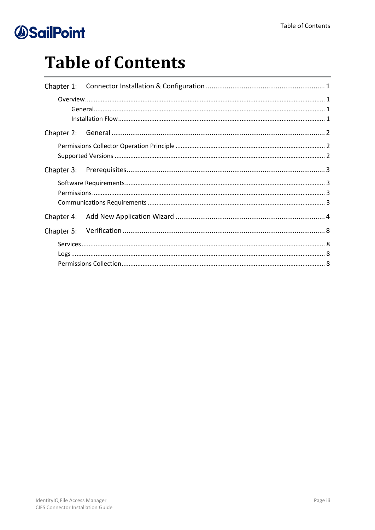# **Table of Contents**

| Chapter 4: |  |
|------------|--|
|            |  |
|            |  |
|            |  |
|            |  |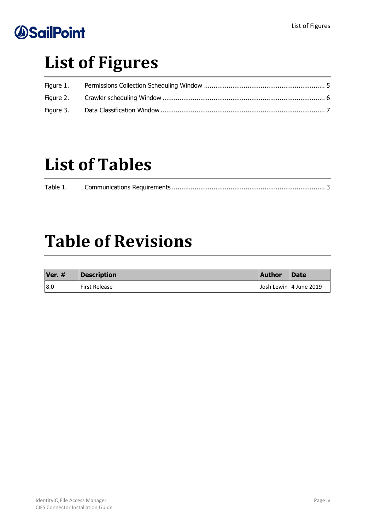# **List of Figures**

| Figure 1. |  |
|-----------|--|
|           |  |
| Figure 3. |  |

# **List of Tables**

| Table 1. |  |
|----------|--|
|          |  |

# **Table of Revisions**

| <b>Ver. #</b> | Description   | <b>Author</b> | <b>IDate</b>           |
|---------------|---------------|---------------|------------------------|
| 18.0          | First Release |               | Josh Lewin 4 June 2019 |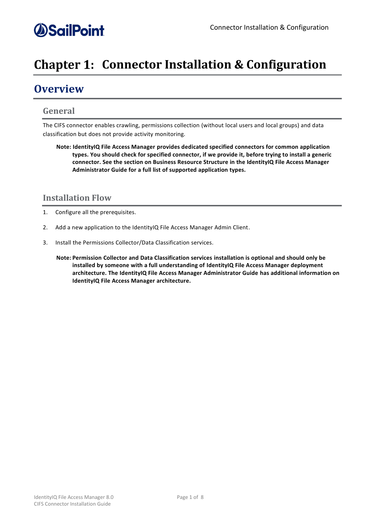## *<u>OSailPoint</u>*

## <span id="page-4-0"></span>**Chapter 1: Connector Installation & Configuration**

## <span id="page-4-1"></span>**Overview**

### <span id="page-4-2"></span>**General**

The CIFS connector enables crawling, permissions collection (without local users and local groups) and data classification but does not provide activity monitoring.

**Note: IdentityIQ File Access Manager provides dedicated specified connectors for common application types. You should check for specified connector, if we provide it, before trying to install a generic connector. See the section on Business Resource Structure in the IdentityIQ File Access Manager Administrator Guide for a full list of supported application types.**

### <span id="page-4-3"></span>**Installation Flow**

- 1. Configure all the prerequisites.
- 2. Add a new application to the IdentityIQ File Access Manager Admin Client.
- 3. Install the Permissions Collector/Data Classification services.
	- **Note: Permission Collector and Data Classification services installation is optional and should only be installed by someone with a full understanding of IdentityIQ File Access Manager deployment architecture. The IdentityIQ File Access Manager Administrator Guide has additional information on IdentityIQ File Access Manager architecture.**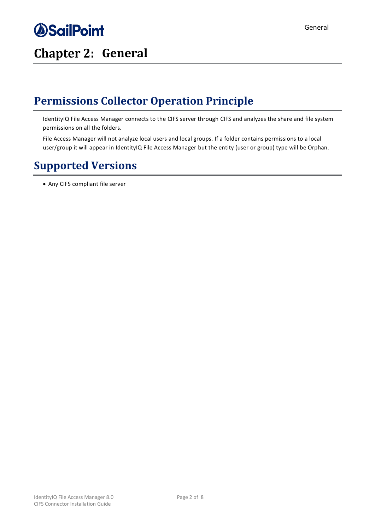<span id="page-5-0"></span>

### General

## <span id="page-5-1"></span>**Permissions Collector Operation Principle**

IdentityIQ File Access Manager connects to the CIFS server through CIFS and analyzes the share and file system permissions on all the folders.

File Access Manager will not analyze local users and local groups. If a folder contains permissions to a local user/group it will appear in IdentityIQ File Access Manager but the entity (user or group) type will be Orphan.

### <span id="page-5-2"></span>**Supported Versions**

• Any CIFS compliant file server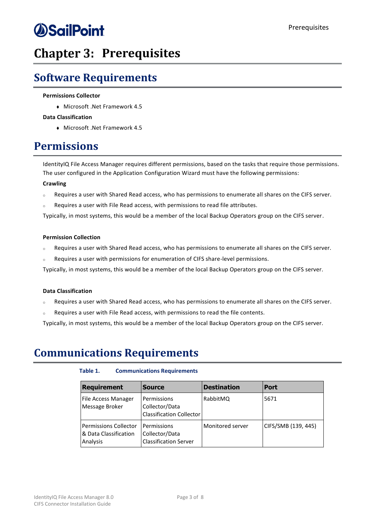## <span id="page-6-0"></span>**Chapter 3: Prerequisites**

## <span id="page-6-1"></span>**Software Requirements**

#### **Permissions Collector**

<sup>⧫</sup> Microsoft .Net Framework 4.5

#### **Data Classification**

<sup>⧫</sup> Microsoft .Net Framework 4.5

### <span id="page-6-2"></span>**Permissions**

IdentityIQ File Access Manager requires different permissions, based on the tasks that require those permissions. The user configured in the Application Configuration Wizard must have the following permissions:

#### **Crawling**

- <sup>o</sup> Requires a user with Shared Read access, who has permissions to enumerate all shares on the CIFS server.
- <sup>o</sup> Requires a user with File Read access, with permissions to read file attributes.

Typically, in most systems, this would be a member of the local Backup Operators group on the CIFS server.

#### **Permission Collection**

- <sup>o</sup> Requires a user with Shared Read access, who has permissions to enumerate all shares on the CIFS server.
- Requires a user with permissions for enumeration of CIFS share-level permissions.

Typically, in most systems, this would be a member of the local Backup Operators group on the CIFS server.

#### **Data Classification**

- <sup>o</sup> Requires a user with Shared Read access, who has permissions to enumerate all shares on the CIFS server.
- <sup>o</sup> Requires a user with File Read access, with permissions to read the file contents.

Typically, in most systems, this would be a member of the local Backup Operators group on the CIFS server.

### <span id="page-6-4"></span><span id="page-6-3"></span>**Communications Requirements**

### **Table 1. Communications Requirements**

| <b>Requirement</b>                                         | <b>Source</b>                                                    | <b>Destination</b> | <b>Port</b>         |
|------------------------------------------------------------|------------------------------------------------------------------|--------------------|---------------------|
| File Access Manager<br>Message Broker                      | Permissions<br>Collector/Data<br><b>Classification Collector</b> | RabbitMQ           | 5671                |
| Permissions Collector<br>8 Data Classification<br>Analysis | Permissions<br>Collector/Data<br><b>Classification Server</b>    | Monitored server   | CIFS/SMB (139, 445) |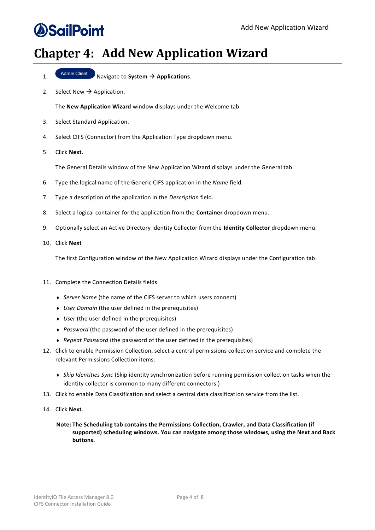## <span id="page-7-0"></span>**Chapter 4: Add New Application Wizard**

- 1. Navigate to **System** → **Applications**.
- 2. Select New  $\rightarrow$  Application.

The **New Application Wizard** window displays under the Welcome tab.

- 3. Select Standard Application.
- 4. Select CIFS (Connector) from the Application Type dropdown menu.
- 5. Click **Next**.

The General Details window of the New Application Wizard displays under the General tab.

- 6. Type the logical name of the Generic CIFS application in the *Name* field.
- 7. Type a description of the application in the *Description* field.
- 8. Select a logical container for the application from the **Container** dropdown menu.
- 9. Optionally select an Active Directory Identity Collector from the **Identity Collector** dropdown menu.
- 10. Click **Next**

The first Configuration window of the New Application Wizard displays under the Configuration tab.

- 11. Complete the Connection Details fields:
	- <sup>⧫</sup> *Server Name* (the name of the CIFS server to which users connect)
	- <sup>⧫</sup> *User Domain* (the user defined in the prerequisites)
	- ◆ *User* (the user defined in the prerequisites)
	- <sup>⧫</sup> *Password* (the password of the user defined in the prerequisites)
	- <sup>⧫</sup> *Repeat Password* (the password of the user defined in the prerequisites)
- 12. Click to enable Permission Collection, select a central permissions collection service and complete the relevant Permissions Collection items:
	- <sup>⧫</sup> *Skip Identities Sync* (Skip identity synchronization before running permission collection tasks when the identity collector is common to many different connectors.)
- 13. Click to enable Data Classification and select a central data classification service from the list.
- 14. Click **Next**.
	- **Note: The Scheduling tab contains the Permissions Collection, Crawler, and Data Classification (if supported) scheduling windows. You can navigate among those windows, using the Next and Back buttons.**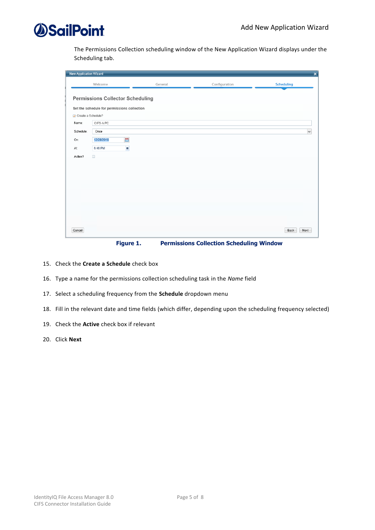

The Permissions Collection scheduling window of the New Application Wizard displays under the Scheduling tab.

| <b>New Application Wizard</b><br>$\pmb{\times}$ |                                             |         |               |                   |  |
|-------------------------------------------------|---------------------------------------------|---------|---------------|-------------------|--|
|                                                 | Welcome                                     | General | Configuration | <b>Scheduling</b> |  |
|                                                 | <b>Permissions Collector Scheduling</b>     |         |               |                   |  |
|                                                 | Set the schedule for permissions collection |         |               |                   |  |
| Create a Schedule?                              |                                             |         |               |                   |  |
| Name:                                           | CIFS-A PC                                   |         |               |                   |  |
| Schedule:                                       | Once                                        |         |               | $_{\rm v}$        |  |
| On:                                             | 曲<br>12/28/2018                             |         |               |                   |  |
| At:                                             | 8<br>6:48 PM                                |         |               |                   |  |
| Active?                                         | $\Box$                                      |         |               |                   |  |
|                                                 |                                             |         |               |                   |  |
|                                                 |                                             |         |               |                   |  |
|                                                 |                                             |         |               |                   |  |
|                                                 |                                             |         |               |                   |  |
|                                                 |                                             |         |               |                   |  |
|                                                 |                                             |         |               |                   |  |
|                                                 |                                             |         |               |                   |  |
|                                                 |                                             |         |               |                   |  |
| Cancel                                          |                                             |         |               | Back<br>Next      |  |

**Figure 1. Permissions Collection Scheduling Window**

- <span id="page-8-0"></span>15. Check the **Create a Schedule** check box
- 16. Type a name for the permissions collection scheduling task in the *Name* field
- 17. Select a scheduling frequency from the **Schedule** dropdown menu
- 18. Fill in the relevant date and time fields (which differ, depending upon the scheduling frequency selected)
- 19. Check the **Active** check box if relevant
- 20. Click **Next**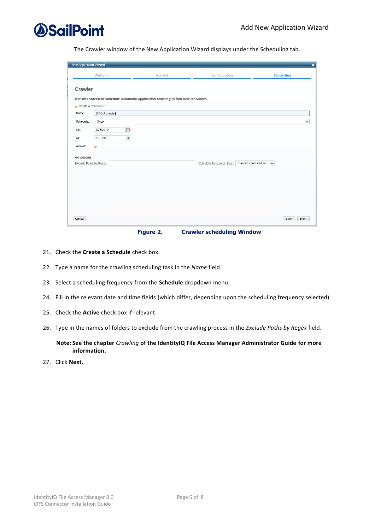

The Crawler window of the New Application Wizard displays under the Scheduling tab.

| <b>New Application Wizard</b>       |                           |                                                                                  |                           |                                     | $\overline{\mathbf{x}}$ |
|-------------------------------------|---------------------------|----------------------------------------------------------------------------------|---------------------------|-------------------------------------|-------------------------|
|                                     | Welcome                   | General                                                                          | Configuration             | Scheduling                          |                         |
| Crawler                             |                           | Use this screen to schedule automatic application crawling to find new resources |                           |                                     |                         |
| Create a Schedule?                  |                           |                                                                                  |                           |                                     |                         |
| Name:                               | SIFC-A crawler            |                                                                                  |                           |                                     |                         |
| Schedule:                           | Once                      |                                                                                  |                           |                                     | $\checkmark$            |
| On:                                 | 曲<br>2/26/2019            |                                                                                  |                           |                                     |                         |
| At:                                 | $\blacksquare$<br>6:38 PM |                                                                                  |                           |                                     |                         |
| Active?                             | $\checkmark$              |                                                                                  |                           |                                     |                         |
| Advanced<br>Exclude Paths by Regex: |                           |                                                                                  | Calculate Resources Size: | Second crawl and on<br>$\checkmark$ |                         |
| Cancel                              |                           |                                                                                  |                           |                                     | Next<br>Back            |

**Figure 2. Crawler scheduling Window**

- <span id="page-9-0"></span>21. Check the **Create a Schedule** check box.
- 22. Type a name for the crawling scheduling task in the *Name* field.
- 23. Select a scheduling frequency from the **Schedule** dropdown menu.
- 24. Fill in the relevant date and time fields (which differ, depending upon the scheduling frequency selected).
- 25. Check the **Active** check box if relevant.
- 26. Type in the names of folders to exclude from the crawling process in the *Exclude Paths by Regex* field.

**Note: See the chapter** *Crawling* **of the IdentityIQ File Access Manager Administrator Guide for more information.**

27. Click **Next**.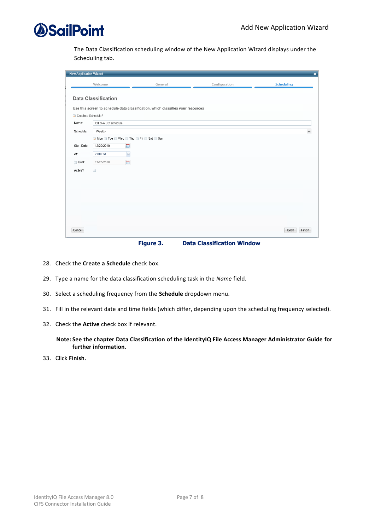The Data Classification scheduling window of the New Application Wizard displays under the Scheduling tab.

|                    | $\pmb{\times}$<br><b>New Application Wizard</b> |                                                                                  |               |                   |  |  |
|--------------------|-------------------------------------------------|----------------------------------------------------------------------------------|---------------|-------------------|--|--|
|                    | Welcome                                         | General                                                                          | Configuration | <b>Scheduling</b> |  |  |
|                    | <b>Data Classification</b>                      |                                                                                  |               |                   |  |  |
| Create a Schedule? |                                                 | Use this screen to schedule data classification, which classifies your resources |               |                   |  |  |
| Name:              | CIFS-A DC schedule                              |                                                                                  |               |                   |  |  |
| Schedule:          | Weekly                                          |                                                                                  |               | $\checkmark$      |  |  |
|                    | Mon Tue Wed Thu Fri Sat Sun                     |                                                                                  |               |                   |  |  |
| Start Date:<br>At  | 體<br>12/20/2018<br>$\blacksquare$<br>7:00 PM    |                                                                                  |               |                   |  |  |
| $\Box$ Until:      | 體<br>12/20/2018                                 |                                                                                  |               |                   |  |  |
| Active?            | $\Box$                                          |                                                                                  |               |                   |  |  |
|                    |                                                 |                                                                                  |               |                   |  |  |
|                    |                                                 |                                                                                  |               |                   |  |  |
|                    |                                                 |                                                                                  |               |                   |  |  |
|                    |                                                 |                                                                                  |               |                   |  |  |
|                    |                                                 |                                                                                  |               |                   |  |  |
|                    |                                                 |                                                                                  |               |                   |  |  |
| Cancel             |                                                 |                                                                                  |               | Finish<br>Back    |  |  |

**Figure 3. Data Classification Window**

- <span id="page-10-0"></span>28. Check the **Create a Schedule** check box.
- 29. Type a name for the data classification scheduling task in the *Name* field.
- 30. Select a scheduling frequency from the **Schedule** dropdown menu.
- 31. Fill in the relevant date and time fields (which differ, depending upon the scheduling frequency selected).
- 32. Check the **Active** check box if relevant.

### **Note: See the chapter Data Classification of the IdentityIQ File Access Manager Administrator Guide for further information.**

33. Click **Finish**.